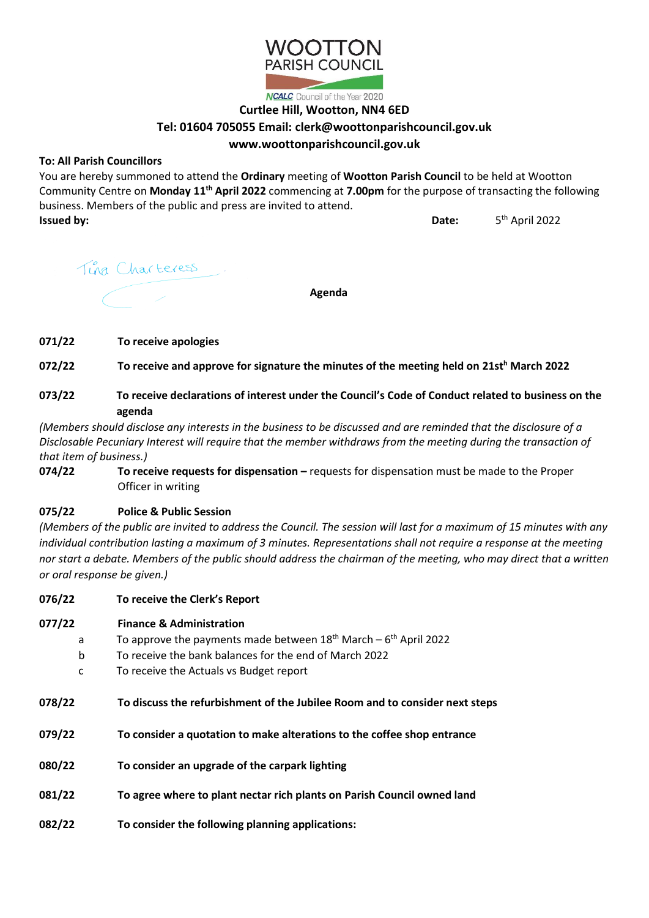

**Curtlee Hill, Wootton, NN4 6ED**

# **Tel: 01604 705055 Email: clerk@woottonparishcouncil.gov.uk**

## **www.woottonparishcouncil.gov.uk**

### **To: All Parish Councillors**

You are hereby summoned to attend the **Ordinary** meeting of **Wootton Parish Council** to be held at Wootton Community Centre on **Monday 11th April 2022** commencing at **7.00pm** for the purpose of transacting the following business. Members of the public and press are invited to attend. **Issued by: Date: Date: SALLER PRODUCE: Date: Date: Date: Date: Date: Date: Date: Date: Date: SALLER PRODUCE: Date: Date: Date: Date: Date: Date: Date: Date: Date: Date: Date** 5<sup>th</sup> April 2022

Tina Charteress

**Agenda**

**071/22 To receive apologies** 

**072/22 To receive and approve for signature the minutes of the meeting held on 21st<sup>h</sup> March 2022**

**073/22 To receive declarations of interest under the Council's Code of Conduct related to business on the agenda**

*(Members should disclose any interests in the business to be discussed and are reminded that the disclosure of a Disclosable Pecuniary Interest will require that the member withdraws from the meeting during the transaction of that item of business.)*

**074/22 To receive requests for dispensation –** requests for dispensation must be made to the Proper Officer in writing

#### **075/22 Police & Public Session**

*(Members of the public are invited to address the Council. The session will last for a maximum of 15 minutes with any individual contribution lasting a maximum of 3 minutes. Representations shall not require a response at the meeting nor start a debate. Members of the public should address the chairman of the meeting, who may direct that a written or oral response be given.)*

- **076/22 To receive the Clerk's Report**
- **077/22 Finance & Administration**
	- a To approve the payments made between  $18<sup>th</sup>$  March  $6<sup>th</sup>$  April 2022
	- b To receive the bank balances for the end of March 2022
	- c To receive the Actuals vs Budget report
- **078/22 To discuss the refurbishment of the Jubilee Room and to consider next steps**
- **079/22 To consider a quotation to make alterations to the coffee shop entrance**
- **080/22 To consider an upgrade of the carpark lighting**
- **081/22 To agree where to plant nectar rich plants on Parish Council owned land**
- **082/22 To consider the following planning applications:**